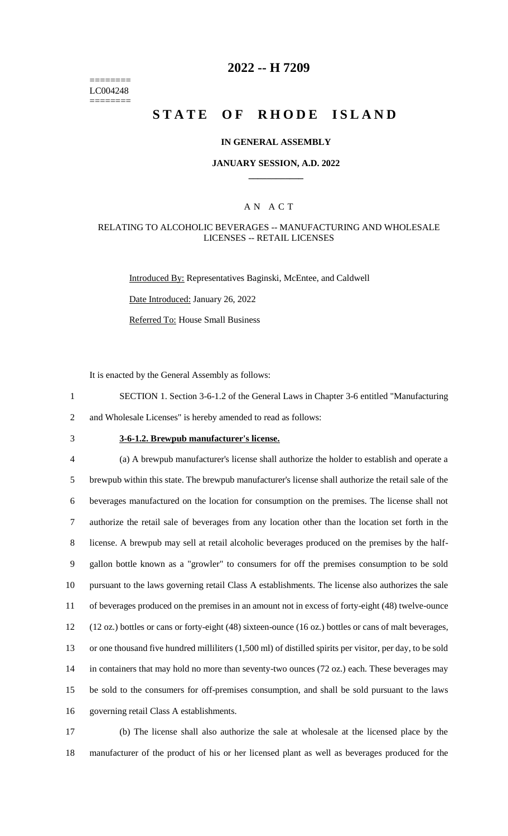======== LC004248 ========

## **2022 -- H 7209**

# **STATE OF RHODE ISLAND**

### **IN GENERAL ASSEMBLY**

#### **JANUARY SESSION, A.D. 2022 \_\_\_\_\_\_\_\_\_\_\_\_**

### A N A C T

### RELATING TO ALCOHOLIC BEVERAGES -- MANUFACTURING AND WHOLESALE LICENSES -- RETAIL LICENSES

Introduced By: Representatives Baginski, McEntee, and Caldwell

Date Introduced: January 26, 2022

Referred To: House Small Business

It is enacted by the General Assembly as follows:

1 SECTION 1. Section 3-6-1.2 of the General Laws in Chapter 3-6 entitled "Manufacturing 2 and Wholesale Licenses" is hereby amended to read as follows:

# 3 **3-6-1.2. Brewpub manufacturer's license.**

 (a) A brewpub manufacturer's license shall authorize the holder to establish and operate a brewpub within this state. The brewpub manufacturer's license shall authorize the retail sale of the beverages manufactured on the location for consumption on the premises. The license shall not authorize the retail sale of beverages from any location other than the location set forth in the license. A brewpub may sell at retail alcoholic beverages produced on the premises by the half- gallon bottle known as a "growler" to consumers for off the premises consumption to be sold pursuant to the laws governing retail Class A establishments. The license also authorizes the sale of beverages produced on the premises in an amount not in excess of forty-eight (48) twelve-ounce (12 oz.) bottles or cans or forty-eight (48) sixteen-ounce (16 oz.) bottles or cans of malt beverages, or one thousand five hundred milliliters (1,500 ml) of distilled spirits per visitor, per day, to be sold 14 in containers that may hold no more than seventy-two ounces (72 oz.) each. These beverages may be sold to the consumers for off-premises consumption, and shall be sold pursuant to the laws governing retail Class A establishments.

17 (b) The license shall also authorize the sale at wholesale at the licensed place by the 18 manufacturer of the product of his or her licensed plant as well as beverages produced for the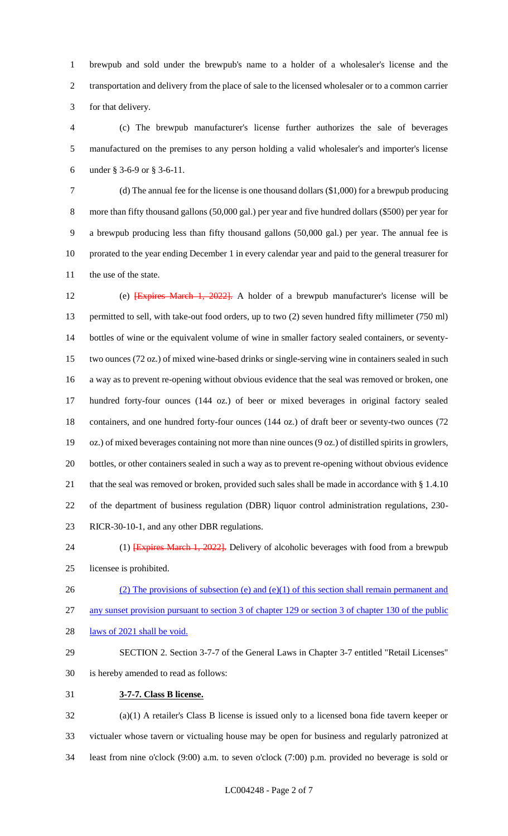brewpub and sold under the brewpub's name to a holder of a wholesaler's license and the transportation and delivery from the place of sale to the licensed wholesaler or to a common carrier for that delivery.

 (c) The brewpub manufacturer's license further authorizes the sale of beverages manufactured on the premises to any person holding a valid wholesaler's and importer's license under § 3-6-9 or § 3-6-11.

 (d) The annual fee for the license is one thousand dollars (\$1,000) for a brewpub producing more than fifty thousand gallons (50,000 gal.) per year and five hundred dollars (\$500) per year for a brewpub producing less than fifty thousand gallons (50,000 gal.) per year. The annual fee is prorated to the year ending December 1 in every calendar year and paid to the general treasurer for the use of the state.

 (e) [Expires March 1, 2022]. A holder of a brewpub manufacturer's license will be permitted to sell, with take-out food orders, up to two (2) seven hundred fifty millimeter (750 ml) bottles of wine or the equivalent volume of wine in smaller factory sealed containers, or seventy- two ounces (72 oz.) of mixed wine-based drinks or single-serving wine in containers sealed in such a way as to prevent re-opening without obvious evidence that the seal was removed or broken, one hundred forty-four ounces (144 oz.) of beer or mixed beverages in original factory sealed containers, and one hundred forty-four ounces (144 oz.) of draft beer or seventy-two ounces (72 oz.) of mixed beverages containing not more than nine ounces (9 oz.) of distilled spirits in growlers, bottles, or other containers sealed in such a way as to prevent re-opening without obvious evidence 21 that the seal was removed or broken, provided such sales shall be made in accordance with § 1.4.10 of the department of business regulation (DBR) liquor control administration regulations, 230- RICR-30-10-1, and any other DBR regulations.

- 24 (1) **[Expires March 1, 2022].** Delivery of alcoholic beverages with food from a brewpub
- licensee is prohibited.
- 

26 (2) The provisions of subsection (e) and (e)(1) of this section shall remain permanent and any sunset provision pursuant to section 3 of chapter 129 or section 3 of chapter 130 of the public

- 28 laws of 2021 shall be void.
- 

SECTION 2. Section 3-7-7 of the General Laws in Chapter 3-7 entitled "Retail Licenses"

- is hereby amended to read as follows:
- **3-7-7. Class B license.**

 (a)(1) A retailer's Class B license is issued only to a licensed bona fide tavern keeper or victualer whose tavern or victualing house may be open for business and regularly patronized at least from nine o'clock (9:00) a.m. to seven o'clock (7:00) p.m. provided no beverage is sold or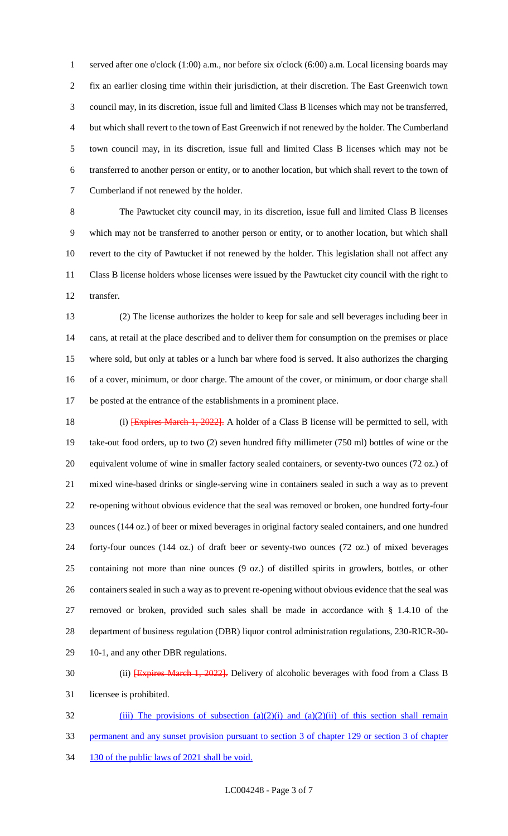served after one o'clock (1:00) a.m., nor before six o'clock (6:00) a.m. Local licensing boards may fix an earlier closing time within their jurisdiction, at their discretion. The East Greenwich town council may, in its discretion, issue full and limited Class B licenses which may not be transferred, but which shall revert to the town of East Greenwich if not renewed by the holder. The Cumberland town council may, in its discretion, issue full and limited Class B licenses which may not be transferred to another person or entity, or to another location, but which shall revert to the town of Cumberland if not renewed by the holder.

 The Pawtucket city council may, in its discretion, issue full and limited Class B licenses which may not be transferred to another person or entity, or to another location, but which shall revert to the city of Pawtucket if not renewed by the holder. This legislation shall not affect any Class B license holders whose licenses were issued by the Pawtucket city council with the right to transfer.

 (2) The license authorizes the holder to keep for sale and sell beverages including beer in cans, at retail at the place described and to deliver them for consumption on the premises or place where sold, but only at tables or a lunch bar where food is served. It also authorizes the charging of a cover, minimum, or door charge. The amount of the cover, or minimum, or door charge shall be posted at the entrance of the establishments in a prominent place.

18 (i) **Expires March 1, 2022**. A holder of a Class B license will be permitted to sell, with take-out food orders, up to two (2) seven hundred fifty millimeter (750 ml) bottles of wine or the equivalent volume of wine in smaller factory sealed containers, or seventy-two ounces (72 oz.) of mixed wine-based drinks or single-serving wine in containers sealed in such a way as to prevent re-opening without obvious evidence that the seal was removed or broken, one hundred forty-four ounces (144 oz.) of beer or mixed beverages in original factory sealed containers, and one hundred forty-four ounces (144 oz.) of draft beer or seventy-two ounces (72 oz.) of mixed beverages containing not more than nine ounces (9 oz.) of distilled spirits in growlers, bottles, or other containers sealed in such a way as to prevent re-opening without obvious evidence that the seal was removed or broken, provided such sales shall be made in accordance with § 1.4.10 of the department of business regulation (DBR) liquor control administration regulations, 230-RICR-30- 10-1, and any other DBR regulations.

30 (ii) **[Expires March 1, 2022].** Delivery of alcoholic beverages with food from a Class B licensee is prohibited.

32 (iii) The provisions of subsection  $(a)(2)(i)$  and  $(a)(2)(ii)$  of this section shall remain permanent and any sunset provision pursuant to section 3 of chapter 129 or section 3 of chapter 34 130 of the public laws of 2021 shall be void.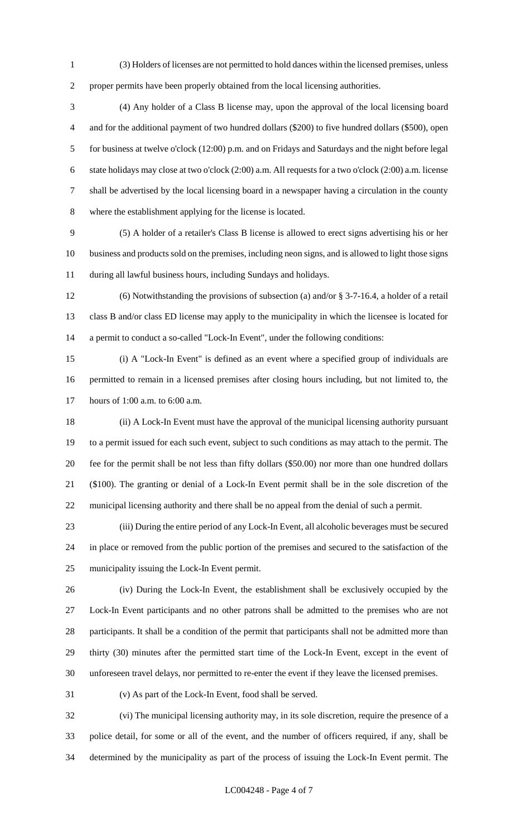(3) Holders of licenses are not permitted to hold dances within the licensed premises, unless proper permits have been properly obtained from the local licensing authorities.

 (4) Any holder of a Class B license may, upon the approval of the local licensing board and for the additional payment of two hundred dollars (\$200) to five hundred dollars (\$500), open for business at twelve o'clock (12:00) p.m. and on Fridays and Saturdays and the night before legal state holidays may close at two o'clock (2:00) a.m. All requests for a two o'clock (2:00) a.m. license shall be advertised by the local licensing board in a newspaper having a circulation in the county where the establishment applying for the license is located.

 (5) A holder of a retailer's Class B license is allowed to erect signs advertising his or her business and products sold on the premises, including neon signs, and is allowed to light those signs during all lawful business hours, including Sundays and holidays.

 (6) Notwithstanding the provisions of subsection (a) and/or § 3-7-16.4, a holder of a retail class B and/or class ED license may apply to the municipality in which the licensee is located for a permit to conduct a so-called "Lock-In Event", under the following conditions:

 (i) A "Lock-In Event" is defined as an event where a specified group of individuals are permitted to remain in a licensed premises after closing hours including, but not limited to, the hours of 1:00 a.m. to 6:00 a.m.

 (ii) A Lock-In Event must have the approval of the municipal licensing authority pursuant to a permit issued for each such event, subject to such conditions as may attach to the permit. The fee for the permit shall be not less than fifty dollars (\$50.00) nor more than one hundred dollars (\$100). The granting or denial of a Lock-In Event permit shall be in the sole discretion of the municipal licensing authority and there shall be no appeal from the denial of such a permit.

 (iii) During the entire period of any Lock-In Event, all alcoholic beverages must be secured in place or removed from the public portion of the premises and secured to the satisfaction of the municipality issuing the Lock-In Event permit.

 (iv) During the Lock-In Event, the establishment shall be exclusively occupied by the Lock-In Event participants and no other patrons shall be admitted to the premises who are not participants. It shall be a condition of the permit that participants shall not be admitted more than thirty (30) minutes after the permitted start time of the Lock-In Event, except in the event of unforeseen travel delays, nor permitted to re-enter the event if they leave the licensed premises.

(v) As part of the Lock-In Event, food shall be served.

 (vi) The municipal licensing authority may, in its sole discretion, require the presence of a police detail, for some or all of the event, and the number of officers required, if any, shall be determined by the municipality as part of the process of issuing the Lock-In Event permit. The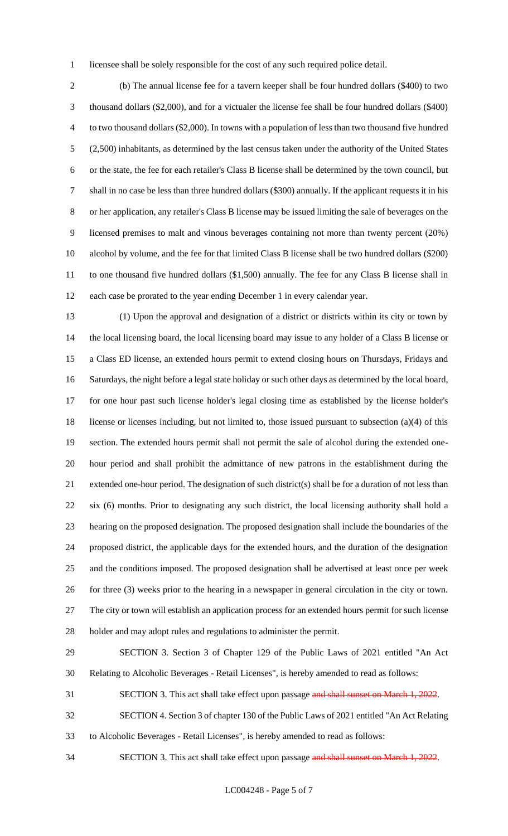licensee shall be solely responsible for the cost of any such required police detail.

 (b) The annual license fee for a tavern keeper shall be four hundred dollars (\$400) to two thousand dollars (\$2,000), and for a victualer the license fee shall be four hundred dollars (\$400) to two thousand dollars (\$2,000). In towns with a population of less than two thousand five hundred (2,500) inhabitants, as determined by the last census taken under the authority of the United States or the state, the fee for each retailer's Class B license shall be determined by the town council, but shall in no case be less than three hundred dollars (\$300) annually. If the applicant requests it in his or her application, any retailer's Class B license may be issued limiting the sale of beverages on the licensed premises to malt and vinous beverages containing not more than twenty percent (20%) alcohol by volume, and the fee for that limited Class B license shall be two hundred dollars (\$200) 11 to one thousand five hundred dollars (\$1,500) annually. The fee for any Class B license shall in each case be prorated to the year ending December 1 in every calendar year.

 (1) Upon the approval and designation of a district or districts within its city or town by the local licensing board, the local licensing board may issue to any holder of a Class B license or a Class ED license, an extended hours permit to extend closing hours on Thursdays, Fridays and Saturdays, the night before a legal state holiday or such other days as determined by the local board, for one hour past such license holder's legal closing time as established by the license holder's license or licenses including, but not limited to, those issued pursuant to subsection (a)(4) of this section. The extended hours permit shall not permit the sale of alcohol during the extended one- hour period and shall prohibit the admittance of new patrons in the establishment during the extended one-hour period. The designation of such district(s) shall be for a duration of not less than six (6) months. Prior to designating any such district, the local licensing authority shall hold a hearing on the proposed designation. The proposed designation shall include the boundaries of the proposed district, the applicable days for the extended hours, and the duration of the designation and the conditions imposed. The proposed designation shall be advertised at least once per week for three (3) weeks prior to the hearing in a newspaper in general circulation in the city or town. The city or town will establish an application process for an extended hours permit for such license holder and may adopt rules and regulations to administer the permit.

 SECTION 3. Section 3 of Chapter 129 of the Public Laws of 2021 entitled "An Act Relating to Alcoholic Beverages - Retail Licenses", is hereby amended to read as follows:

31 SECTION 3. This act shall take effect upon passage and shall sunset on March 1, 2022.

SECTION 4. Section 3 of chapter 130 of the Public Laws of 2021 entitled "An Act Relating

to Alcoholic Beverages - Retail Licenses", is hereby amended to read as follows:

34 SECTION 3. This act shall take effect upon passage and shall sunset on March 1, 2022.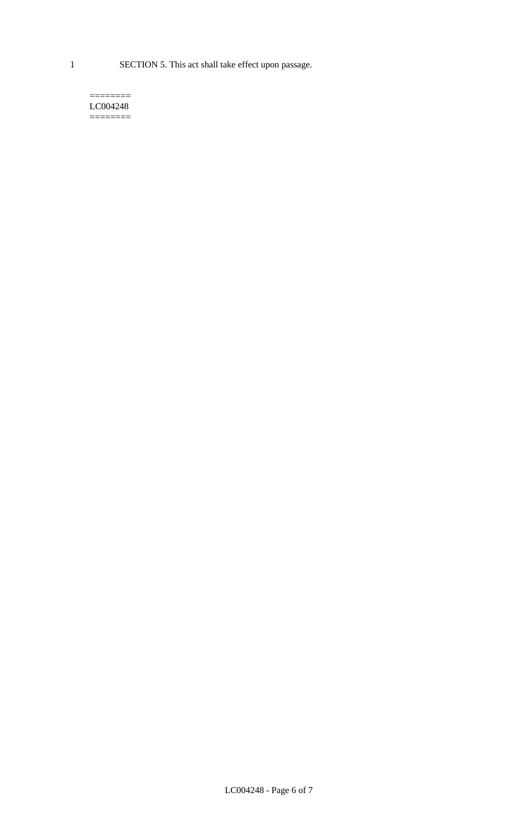1 SECTION 5. This act shall take effect upon passage.

#### $=$ LC004248  $=$